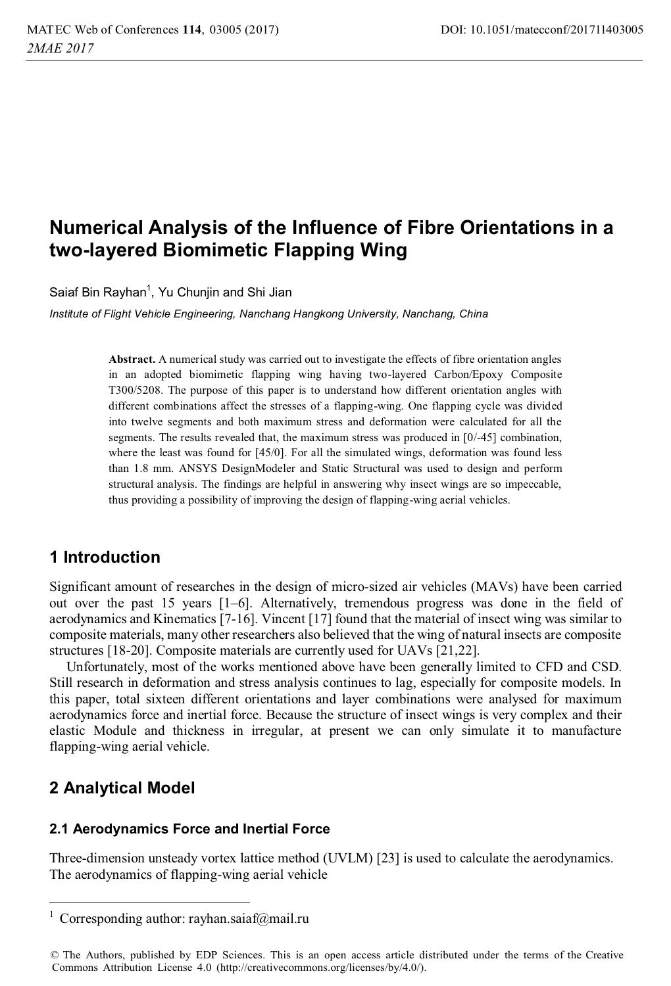# **Numerical Analysis of the Influence of Fibre Orientations in a two-layered Biomimetic Flapping Wing**

Saiaf Bin Rayhan<sup>1</sup>. Yu Chuniin and Shi Jian

*Institute of Flight Vehicle Engineering, Nanchang Hangkong University, Nanchang, China* 

**Abstract.** A numerical study was carried out to investigate the effects of fibre orientation angles in an adopted biomimetic flapping wing having two-layered Carbon/Epoxy Composite T300/5208. The purpose of this paper is to understand how different orientation angles with different combinations affect the stresses of a flapping-wing. One flapping cycle was divided into twelve segments and both maximum stress and deformation were calculated for all the segments. The results revealed that, the maximum stress was produced in [0/-45] combination, where the least was found for [45/0]. For all the simulated wings, deformation was found less than 1.8 mm. ANSYS DesignModeler and Static Structural was used to design and perform structural analysis. The findings are helpful in answering why insect wings are so impeccable, thus providing a possibility of improving the design of flapping-wing aerial vehicles.

### **1 Introduction**

Significant amount of researches in the design of micro-sized air vehicles (MAVs) have been carried out over the past 15 years [1–6]. Alternatively, tremendous progress was done in the field of aerodynamics and Kinematics [7-16]. Vincent [17] found that the material of insect wing was similar to composite materials, many other researchers also believed that the wing of natural insects are composite structures [18-20]. Composite materials are currently used for UAVs [21,22].

 Unfortunately, most of the works mentioned above have been generally limited to CFD and CSD. Still research in deformation and stress analysis continues to lag, especially for composite models. In this paper, total sixteen different orientations and layer combinations were analysed for maximum aerodynamics force and inertial force. Because the structure of insect wings is very complex and their elastic Module and thickness in irregular, at present we can only simulate it to manufacture flapping-wing aerial vehicle.

## **2 Analytical Model**

<u>.</u>

### **2.1 Aerodynamics Force and Inertial Force**

Three-dimension unsteady vortex lattice method (UVLM) [23] is used to calculate the aerodynamics. The aerodynamics of flapping-wing aerial vehicle

<sup>1</sup> Corresponding author: rayhan.saiaf@mail.ru

<sup>©</sup> The Authors, published by EDP Sciences. This is an open access article distributed under the terms of the Creative Commons Attribution License 4.0 (http://creativecommons.org/licenses/by/4.0/).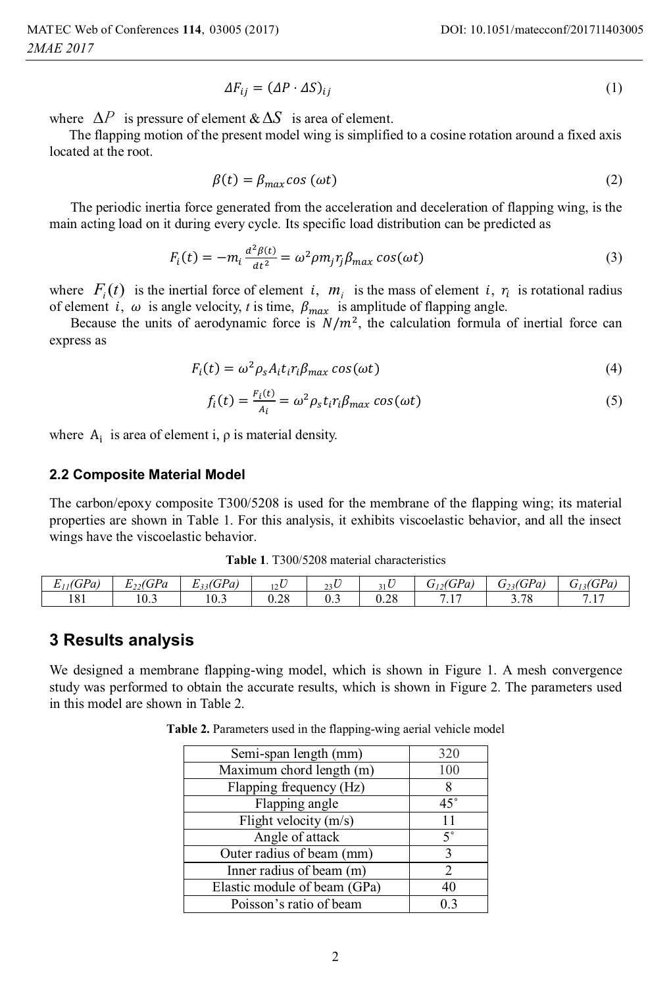$$
\Delta F_{ij} = (\Delta P \cdot \Delta S)_{ij} \tag{1}
$$

where  $\Delta P$  is pressure of element  $\& \Delta S$  is area of element.

The flapping motion of the present model wing is simplified to a cosine rotation around a fixed axis located at the root.

$$
\beta(t) = \beta_{max} \cos(\omega t) \tag{2}
$$

The periodic inertia force generated from the acceleration and deceleration of flapping wing, is the main acting load on it during every cycle. Its specific load distribution can be predicted as

$$
F_i(t) = -m_i \frac{d^2 \beta(t)}{dt^2} = \omega^2 \rho m_j r_j \beta_{max} \cos(\omega t)
$$
 (3)

where  $F_i(t)$  is the inertial force of element i,  $m_i$  is the mass of element i,  $r_i$  is rotational radius of element *i*,  $\omega$  is angle velocity, *t* is time,  $\beta_{max}$  is amplitude of flapping angle.

Because the units of aerodynamic force is  $N/m<sup>2</sup>$ , the calculation formula of inertial force can express as

$$
F_i(t) = \omega^2 \rho_s A_i t_i r_i \beta_{max} \cos(\omega t) \tag{4}
$$

$$
f_i(t) = \frac{F_i(t)}{A_i} = \omega^2 \rho_s t_i r_i \beta_{max} \cos(\omega t)
$$
 (5)

where  $A_i$  is area of element i,  $\rho$  is material density.

#### **2.2 Composite Material Model**

The carbon/epoxy composite T300/5208 is used for the membrane of the flapping wing; its material properties are shown in Table 1. For this analysis, it exhibits viscoelastic behavior, and all the insect wings have the viscoelastic behavior.

| <b>Table 1.</b> T300/5208 material characteristics |  |
|----------------------------------------------------|--|
|----------------------------------------------------|--|

| $E_{11}$ (GPa) | $\cdot$ , (GPa<br><br>∸<br>. | $E_{33}(GPa)$ | $\mathbf{r}$<br>12 <sup>U</sup> | 23C<br>رے | 31 U | $\eta_2(GPa)$<br>U<br>12  | $G_{23}$ (GPa)<br>رے | $G_{13}(GPa)$       |
|----------------|------------------------------|---------------|---------------------------------|-----------|------|---------------------------|----------------------|---------------------|
| 181            | $\Omega$<br>10.3             | 10.3          | 0.28                            | U.J       | 0.28 | $\overline{1}$<br>$\cdot$ | 200<br>3.78          | $7.1-$<br>$\cdot$ 1 |

### **3 Results analysis**

We designed a membrane flapping-wing model, which is shown in Figure 1. A mesh convergence study was performed to obtain the accurate results, which is shown in Figure 2. The parameters used in this model are shown in Table 2.

**Table 2.** Parameters used in the flapping-wing aerial vehicle model

| Semi-span length (mm)                        | 320           |
|----------------------------------------------|---------------|
| $\overline{\text{Maximum}}$ chord length (m) | 100           |
| Flapping frequency (Hz)                      |               |
| Flapping angle                               | $45^{\circ}$  |
| Flight velocity (m/s)                        | 11            |
| Angle of attack                              | $5^{\circ}$   |
| Outer radius of beam (mm)                    | 3             |
| Inner radius of beam (m)                     | $\mathcal{L}$ |
| Elastic module of beam (GPa)                 | 40            |
| Poisson's ratio of beam                      |               |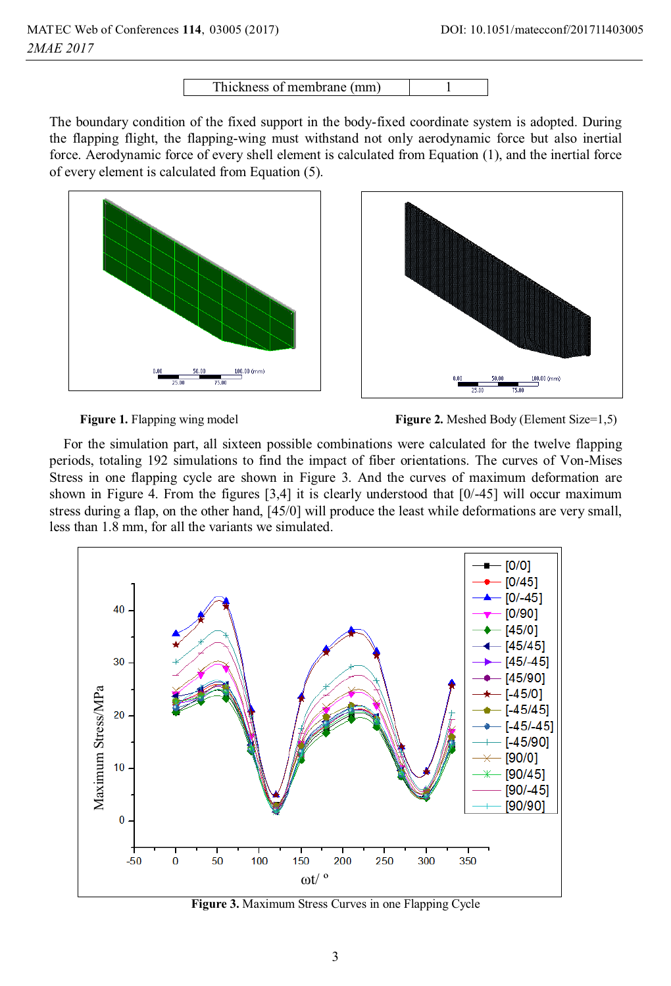Thickness of membrane (mm) 1

The boundary condition of the fixed support in the body-fixed coordinate system is adopted. During the flapping flight, the flapping-wing must withstand not only aerodynamic force but also inertial force. Aerodynamic force of every shell element is calculated from Equation (1), and the inertial force of every element is calculated from Equation (5).





**Figure 1.** Flapping wing model **Figure 2.** Meshed Body (Element Size=1,5)

For the simulation part, all sixteen possible combinations were calculated for the twelve flapping periods, totaling 192 simulations to find the impact of fiber orientations. The curves of Von-Mises Stress in one flapping cycle are shown in Figure 3. And the curves of maximum deformation are shown in Figure 4. From the figures  $[3,4]$  it is clearly understood that  $[0/-45]$  will occur maximum stress during a flap, on the other hand, [45/0] will produce the least while deformations are very small, less than 1.8 mm, for all the variants we simulated.



**Figure 3.** Maximum Stress Curves in one Flapping Cycle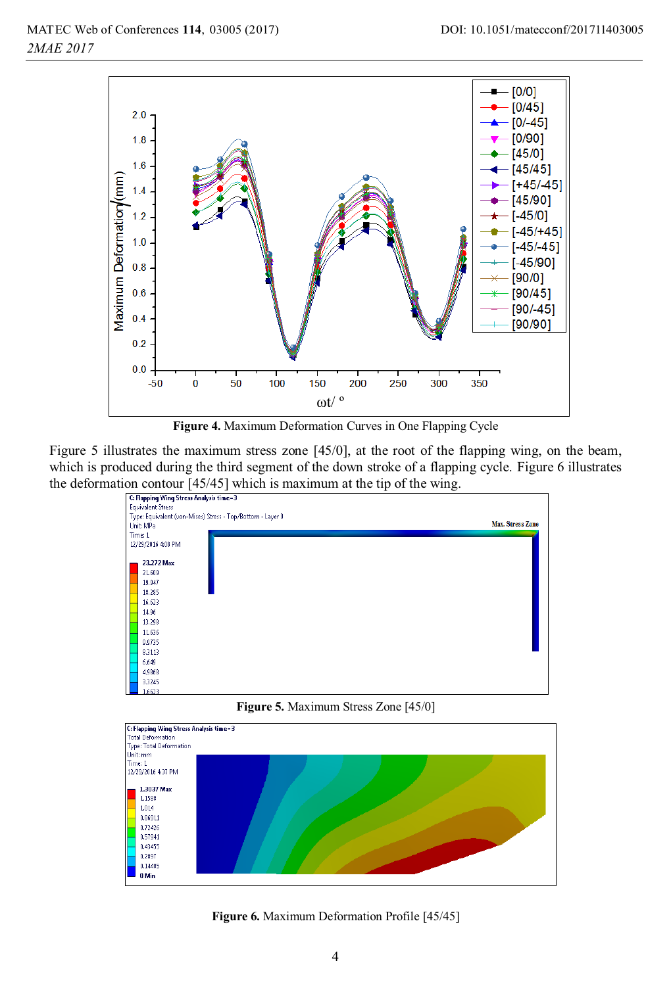

**Figure 4.** Maximum Deformation Curves in One Flapping Cycle

Figure 5 illustrates the maximum stress zone [45/0], at the root of the flapping wing, on the beam, which is produced during the third segment of the down stroke of a flapping cycle. Figure 6 illustrates the deformation contour  $[45/45]$  which is maximum at the tip of the wing.<br>  $\frac{[G\text{Flapping Wing Stress Analysis time=3}]}{[G\text{Flapping Wing Stress Analysis time=3}]}$ 



**Figure 5.** Maximum Stress Zone [45/0]



**Figure 6.** Maximum Deformation Profile [45/45]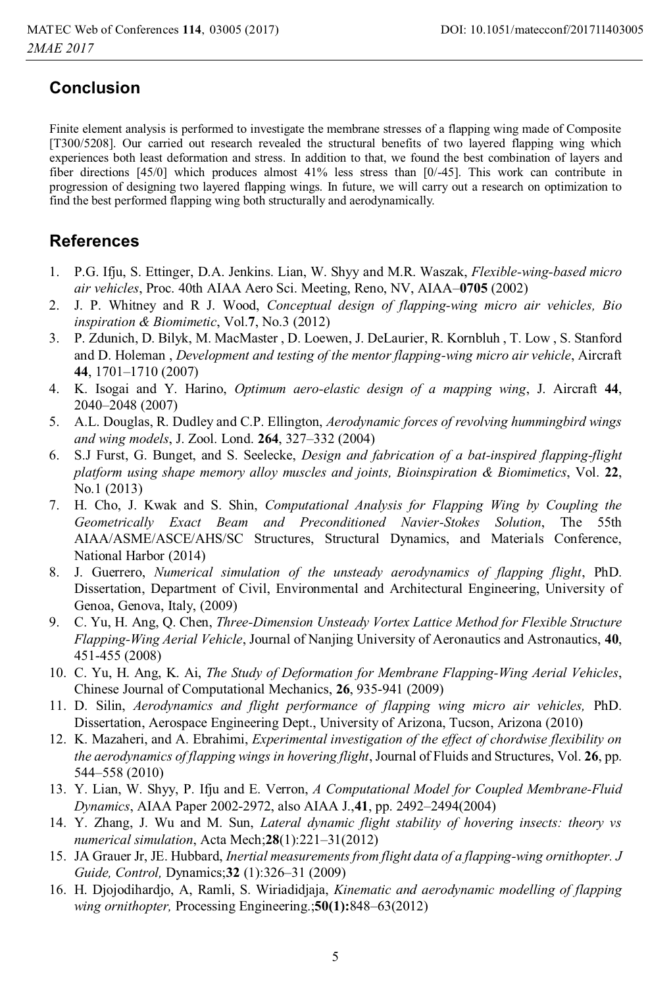# **Conclusion**

Finite element analysis is performed to investigate the membrane stresses of a flapping wing made of Composite [T300/5208]. Our carried out research revealed the structural benefits of two layered flapping wing which experiences both least deformation and stress. In addition to that, we found the best combination of layers and fiber directions [45/0] which produces almost 41% less stress than [0/-45]. This work can contribute in progression of designing two layered flapping wings. In future, we will carry out a research on optimization to find the best performed flapping wing both structurally and aerodynamically.

## **References**

- 1. P.G. Ifju, S. Ettinger, D.A. Jenkins. Lian, W. Shyy and M.R. Waszak, *Flexible-wing-based micro air vehicles*, Proc. 40th AIAA Aero Sci. Meeting, Reno, NV, AIAA–**0705** (2002)
- 2. J. P. Whitney and R J. Wood, *Conceptual design of flapping-wing micro air vehicles, Bio inspiration & Biomimetic*, Vol.**7**, No.3 (2012)
- 3. P. Zdunich, D. Bilyk, M. MacMaster , D. Loewen, J. DeLaurier, R. Kornbluh , T. Low , S. Stanford and D. Holeman , *Development and testing of the mentor flapping-wing micro air vehicle*, Aircraft **44**, 1701–1710 (2007)
- 4. K. Isogai and Y. Harino, *Optimum aero-elastic design of a mapping wing*, J. Aircraft **44**, 2040–2048 (2007)
- 5. A.L. Douglas, R. Dudley and C.P. Ellington, *Aerodynamic forces of revolving hummingbird wings and wing models*, J. Zool. Lond. **264**, 327–332 (2004)
- 6. S.J Furst, G. Bunget, and S. Seelecke, *Design and fabrication of a bat-inspired flapping-flight platform using shape memory alloy muscles and joints, Bioinspiration & Biomimetics*, Vol. **22**, No.1 (2013)
- 7. H. Cho, J. Kwak and S. Shin, *Computational Analysis for Flapping Wing by Coupling the Geometrically Exact Beam and Preconditioned Navier-Stokes Solution*, The 55th AIAA/ASME/ASCE/AHS/SC Structures, Structural Dynamics, and Materials Conference, National Harbor (2014)
- 8. J. Guerrero, *Numerical simulation of the unsteady aerodynamics of flapping flight*, PhD. Dissertation, Department of Civil, Environmental and Architectural Engineering, University of Genoa, Genova, Italy, (2009)
- 9. C. Yu, H. Ang, Q. Chen, *Three-Dimension Unsteady Vortex Lattice Method for Flexible Structure Flapping-Wing Aerial Vehicle*, Journal of Nanjing University of Aeronautics and Astronautics, **40**, 451-455 (2008)
- 10. C. Yu, H. Ang, K. Ai, *The Study of Deformation for Membrane Flapping-Wing Aerial Vehicles*, Chinese Journal of Computational Mechanics, **26**, 935-941 (2009)
- 11. D. Silin, *Aerodynamics and flight performance of flapping wing micro air vehicles,* PhD. Dissertation, Aerospace Engineering Dept., University of Arizona, Tucson, Arizona (2010)
- 12. K. Mazaheri, and A. Ebrahimi, *Experimental investigation of the effect of chordwise flexibility on the aerodynamics of flapping wings in hovering flight*, Journal of Fluids and Structures, Vol. **26**, pp. 544–558 (2010)
- 13. Y. Lian, W. Shyy, P. Ifju and E. Verron, *A Computational Model for Coupled Membrane-Fluid Dynamics*, AIAA Paper 2002-2972, also AIAA J.,**41**, pp. 2492–2494(2004)
- 14. Y. Zhang, J. Wu and M. Sun, *Lateral dynamic flight stability of hovering insects: theory vs numerical simulation*, Acta Mech;**28**(1):221–31(2012)
- 15. JA Grauer Jr, JE. Hubbard, *Inertial measurements from flight data of a flapping-wing ornithopter. J Guide, Control,* Dynamics;**32** (1):326–31 (2009)
- 16. H. Djojodihardjo, A, Ramli, S. Wiriadidjaja, *Kinematic and aerodynamic modelling of flapping wing ornithopter,* Processing Engineering.;**50(1):**848–63(2012)